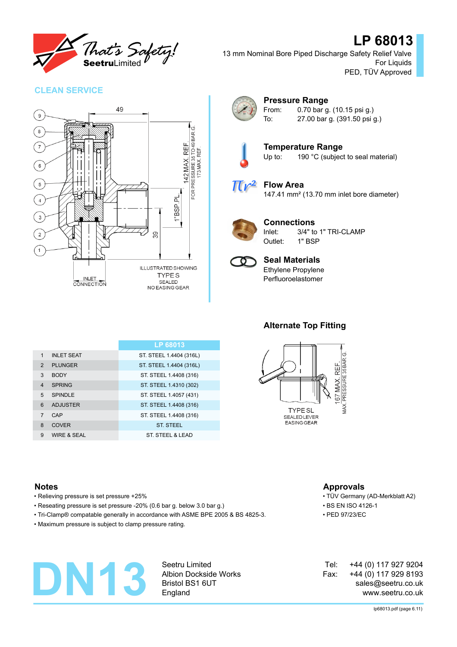

## **LP 68013**

13 mm Nominal Bore Piped Discharge Safety Relief Valve For Liquids PED, TÜV Approved

## **CLEAN SERVICE**





## **Pressure Range**

From: 0.70 bar g. (10.15 psi g.) To: 27.00 bar g. (391.50 psi g.)



**Temperature Range** Up to: 190 °C (subject to seal material)

**Flow Area**  $\pi r^2$ 

147.41 mm² (13.70 mm inlet bore diameter)



## **Connections**

Inlet: 3/4" to 1" TRI-CLAMP Outlet: 1" BSP



### **Seal Materials** Ethylene Propylene Perfluoroelastomer

**LP 68013** 1 INLET SEAT ST. ST. STEEL 1.4404 (316L) 2 PLUNGER ST. STEEL 1.4404 (316L) 3 BODY ST. STEEL 1.4408 (316) 4 SPRING ST. STEEL 1.4310 (302) 5 SPINDLE ST. STEEL 1.4057 (431) 6 ADJUSTER ST. STEEL 1.4408 (316) 7 CAP ST. STEEL 1.4408 (316) 8 COVER ST. STEEL 9 WIRE & SEAL ST. STEEL & LEAD

## **Alternate Top Fitting**



## **Notes Approvals**

- Relieving pressure is set pressure +25% TÜV Germany (AD-Merkblatt A2)
- Reseating pressure is set pressure -20% (0.6 bar g. below 3.0 bar g.) BS EN ISO 4126-1
- Tri-Clamp® compatable generally in accordance with ASME BPE 2005 & BS 4825-3. PED 97/23/EC
- Maximum pressure is subject to clamp pressure rating.



Seetru Limited Albion Dockside Works Bristol BS1 6UT England

+44 (0) 117 927 9204 +44 (0) 117 929 8193 sales@seetru.co.uk www.seetru.co.uk Tel: Fax: